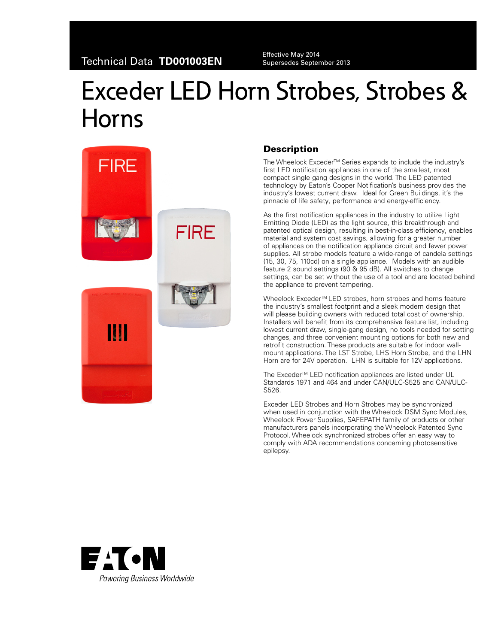Supersedes September 2013

# Exceder LED Horn Strobes, Strobes & Horns



## **Description**

The Wheelock Exceder<sup>™</sup> Series expands to include the industry's first LED notification appliances in one of the smallest, most compact single gang designs in the world. The LED patented technology by Eaton's Cooper Notification's business provides the industry's lowest current draw. Ideal for Green Buildings, it's the pinnacle of life safety, performance and energy-efficiency.

As the first notification appliances in the industry to utilize Light Emitting Diode (LED) as the light source, this breakthrough and patented optical design, resulting in best-in-class efficiency, enables material and system cost savings, allowing for a greater number of appliances on the notification appliance circuit and fewer power supplies. All strobe models feature a wide-range of candela settings (15, 30, 75, 110cd) on a single appliance. Models with an audible feature 2 sound settings (90 & 95 dB). All switches to change settings, can be set without the use of a tool and are located behind the appliance to prevent tampering.

Wheelock Exceder<sup>™</sup> LED strobes, horn strobes and horns feature the industry's smallest footprint and a sleek modern design that will please building owners with reduced total cost of ownership. Installers will benefit from its comprehensive feature list, including lowest current draw, single-gang design, no tools needed for setting changes, and three convenient mounting options for both new and retrofit construction. These products are suitable for indoor wallmount applications. The LST Strobe, LHS Horn Strobe, and the LHN Horn are for 24V operation. LHN is suitable for 12V applications.

The Exceder™ LED notification appliances are listed under UL Standards 1971 and 464 and under CAN/ULC-S525 and CAN/ULC-S526.

Exceder LED Strobes and Horn Strobes may be synchronized when used in conjunction with the Wheelock DSM Sync Modules, Wheelock Power Supplies, SAFEPATH family of products or other manufacturers panels incorporating the Wheelock Patented Sync Protocol. Wheelock synchronized strobes offer an easy way to comply with ADA recommendations concerning photosensitive epilepsy.

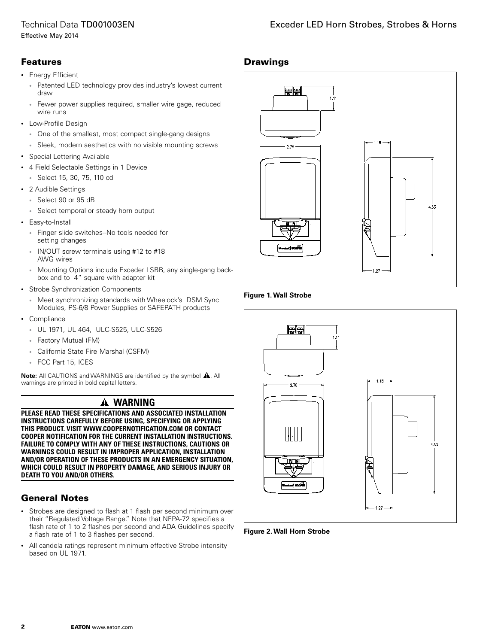# Technical Data TD001003EN

## Features

- • Energy Efficient
	- Patented LED technology provides industry's lowest current draw
	- Fewer power supplies required, smaller wire gage, reduced wire runs
- • Low-Profile Design
	- • One of the smallest, most compact single-gang designs
	- Sleek, modern aesthetics with no visible mounting screws
- • Special Lettering Available
- • 4 Field Selectable Settings in 1 Device
	- • Select 15, 30, 75, 110 cd
- • 2 Audible Settings
	- • Select 90 or 95 dB
	- • Select temporal or steady horn output
- Easy-to-Install
	- • Finger slide switches--No tools needed for setting changes
	- • IN/OUT screw terminals using #12 to #18 AWG wires
	- Mounting Options include Exceder LSBB, any single-gang backbox and to 4" square with adapter kit
- • Strobe Synchronization Components
	- Meet synchronizing standards with Wheelock's DSM Sync Modules, PS-6/8 Power Supplies or SAFEPATH products
- • Compliance
	- • UL 1971, UL 464, ULC-S525, ULC-S526
	- • Factory Mutual (FM)
	- California State Fire Marshal (CSFM)
	- • FCC Part 15, ICES

**Note:** All CAUTIONS and WARNINGS are identified by the symbol  $\hat{A}$ . All warnings are printed in bold capital letters.

# **WARNING**

**PLEASE READ THESE SPECIFICATIONS AND ASSOCIATED INSTALLATION INSTRUCTIONS CAREFULLY BEFORE USING, SPECIFYING OR APPLYING THIS PRODUCT. VISIT WWW.COOPERNOTIFICATION.COM OR CONTACT COOPER NOTIFICATION FOR THE CURRENT INSTALLATION INSTRUCTIONS. FAILURE TO COMPLY WITH ANY OF THESE INSTRUCTIONS, CAUTIONS OR WARNINGS COULD RESULT IN IMPROPER APPLICATION, INSTALLATION AND/OR OPERATION OF THESE PRODUCTS IN AN EMERGENCY SITUATION, WHICH COULD RESULT IN PROPERTY DAMAGE, AND SERIOUS INJURY OR DEATH TO YOU AND/OR OTHERS.**

## General Notes

- • Strobes are designed to flash at 1 flash per second minimum over their "Regulated Voltage Range." Note that NFPA-72 specifies a flash rate of 1 to 2 flashes per second and ADA Guidelines specify a flash rate of 1 to 3 flashes per second.
- All candela ratings represent minimum effective Strobe intensity based on UL 1971.



#### **Figure 1. Wall Strobe**



**Figure 2. Wall Horn Strobe**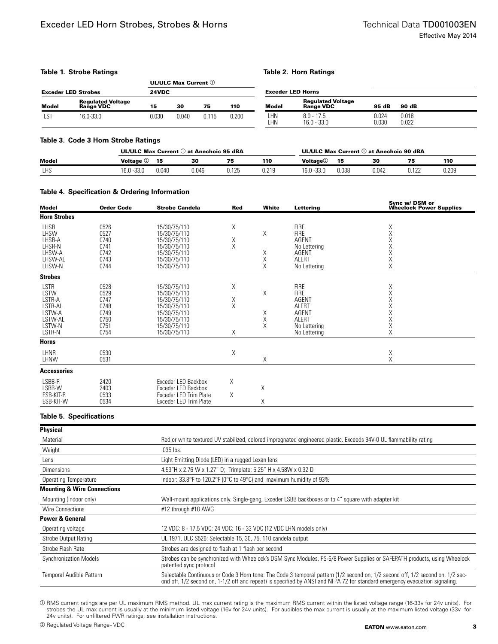#### **Table 1. Strobe Ratings**

#### **Table 2. Horn Ratings**

|                            |                                       | <b>UL/ULC Max Current</b> $\mathbb{O}$ |       |       |       |                          |                                       |                |                |
|----------------------------|---------------------------------------|----------------------------------------|-------|-------|-------|--------------------------|---------------------------------------|----------------|----------------|
| <b>Exceder LED Strobes</b> |                                       | 24VDC                                  |       |       |       | <b>Exceder LED Horns</b> |                                       |                |                |
| <b>Model</b>               | <b>Regulated Voltage</b><br>Range VDC | 15                                     | 30    | 75    | 110   | <b>Model</b>             | <b>Regulated Voltage</b><br>Range VDC | 95 dB          | 90 dB          |
| LST                        | 16.0-33.0                             | 0.030                                  | 0.040 | 0.115 | 0.200 | LHN<br>LHN               | $8.0 - 17.5$<br>$16.0 - 33.0$         | 0.024<br>0.030 | 0.018<br>0.022 |

#### **Table 3. Code 3 Horn Strobe Ratings**

|            |                  |       | UL/ULC Max Current 1 at Anechoic 95 dBA |       |       | UL/ULC Max Current 1 at Anechoic 90 dBA |       |       |       |       |
|------------|------------------|-------|-----------------------------------------|-------|-------|-----------------------------------------|-------|-------|-------|-------|
| Model      | <b>Voltage</b> 2 | 15    | 30                                      | 75    | 110   | <b>Voltage</b> <sup>2</sup>             | 15    | 30    | 75    | 110   |
| <b>LHS</b> | 16.0 -33.0       | 0.040 | 0.046                                   | 0.125 | 0.219 | $16.0 - 33.0$                           | 0.038 | 0.042 | በ 199 | 0.209 |

#### **Table 4. Specification & Ordering Information**

| <b>Model</b>                                                                      | <b>Order Code</b>                                            | <b>Strobe Candela</b>                                                                                                        | <b>Red</b>              | White                        | Lettering                                                                                                                  | Sync w/ DSM or<br>Wheelock Power Supplies                         |
|-----------------------------------------------------------------------------------|--------------------------------------------------------------|------------------------------------------------------------------------------------------------------------------------------|-------------------------|------------------------------|----------------------------------------------------------------------------------------------------------------------------|-------------------------------------------------------------------|
| <b>Horn Strobes</b>                                                               |                                                              |                                                                                                                              |                         |                              |                                                                                                                            |                                                                   |
| LHSR<br><b>LHSW</b><br>LHSR-A<br>LHSR-N<br>LHSW-A<br>LHSW-AL<br>LHSW-N            | 0526<br>0527<br>0740<br>0741<br>0742<br>0743<br>0744         | 15/30/75/110<br>15/30/75/110<br>15/30/75/110<br>15/30/75/110<br>15/30/75/110<br>15/30/75/110<br>15/30/75/110                 | X<br>$_{\rm X}^{\rm X}$ | Χ<br>Χ<br>$_{\rm X}^{\rm X}$ | <b>FIRE</b><br><b>FIRE</b><br><b>AGENT</b><br>No Lettering<br>AGENT<br><b>ALERT</b><br>No Lettering                        | Χ<br>$\mathsf X$<br>X<br>$_{\rm X}^{\rm X}$<br>$_{\rm X}^{\rm X}$ |
| <b>Strobes</b>                                                                    |                                                              |                                                                                                                              |                         |                              |                                                                                                                            |                                                                   |
| <b>LSTR</b><br>LSTW<br>LSTR-A<br>LSTR-AL<br>LSTW-A<br>LSTW-AL<br>LSTW-N<br>LSTR-N | 0528<br>0529<br>0747<br>0748<br>0749<br>0750<br>0751<br>0754 | 15/30/75/110<br>15/30/75/110<br>15/30/75/110<br>15/30/75/110<br>15/30/75/110<br>15/30/75/110<br>15/30/75/110<br>15/30/75/110 | Χ<br>X<br>X<br>Χ        | Χ<br>X<br>X<br>X             | <b>FIRE</b><br><b>FIRE</b><br><b>AGENT</b><br><b>ALERT</b><br><b>AGENT</b><br><b>ALERT</b><br>No Lettering<br>No Lettering | Χ<br>Χ<br>X<br>X<br>X<br>X<br>Χ<br>Χ                              |
| <b>Horns</b>                                                                      |                                                              |                                                                                                                              |                         |                              |                                                                                                                            |                                                                   |
| <b>LHNR</b><br>LHNW                                                               | 0530<br>0531                                                 |                                                                                                                              | Χ                       | X                            |                                                                                                                            | Χ<br>X                                                            |
| <b>Accessories</b>                                                                |                                                              |                                                                                                                              |                         |                              |                                                                                                                            |                                                                   |
| LSBB-R<br>LSBB-W<br>ESB-KIT-R<br>ESB-KIT-W                                        | 2420<br>2403<br>0533<br>0534                                 | Exceder LED Backbox<br>Exceder LED Backbox<br>Exceder LED Trim Plate<br>Exceder LED Trim Plate                               | Χ<br>X                  | Χ<br>Χ                       |                                                                                                                            |                                                                   |

#### **Table 5. Specifications**

| <b>Physical</b>                        |                                                                                                                                                                                                                                                               |  |  |  |  |
|----------------------------------------|---------------------------------------------------------------------------------------------------------------------------------------------------------------------------------------------------------------------------------------------------------------|--|--|--|--|
| Material                               | Red or white textured UV stabilized, colored impregnated engineered plastic. Exceeds 94V-0 UL flammability rating                                                                                                                                             |  |  |  |  |
| Weight                                 | .035 lbs.                                                                                                                                                                                                                                                     |  |  |  |  |
| Lens                                   | Light Emitting Diode (LED) in a rugged Lexan lens                                                                                                                                                                                                             |  |  |  |  |
| <b>Dimensions</b>                      | 4.53"H x 2.76 W x 1.27" D; Trimplate: 5.25" H x 4.58W x 0.32 D                                                                                                                                                                                                |  |  |  |  |
| <b>Operating Temperature</b>           | Indoor: $33.8^{\circ}$ F to $120.2^{\circ}$ F (0 $^{\circ}$ C to 49 $^{\circ}$ C) and maximum humidity of 93%                                                                                                                                                 |  |  |  |  |
| <b>Mounting &amp; Wire Connections</b> |                                                                                                                                                                                                                                                               |  |  |  |  |
| Mounting (indoor only)                 | Wall-mount applications only. Single-gang, Exceder LSBB backboxes or to 4" square with adapter kit                                                                                                                                                            |  |  |  |  |
| Wire Connections                       | #12 through #18 AWG                                                                                                                                                                                                                                           |  |  |  |  |
| <b>Power &amp; General</b>             |                                                                                                                                                                                                                                                               |  |  |  |  |
| Operating voltage                      | 12 VDC: 8 - 17.5 VDC; 24 VDC: 16 - 33 VDC (12 VDC LHN models only)                                                                                                                                                                                            |  |  |  |  |
| Strobe Output Rating                   | UL 1971, ULC S526: Selectable 15, 30, 75, 110 candela output                                                                                                                                                                                                  |  |  |  |  |
| Strobe Flash Rate                      | Strobes are designed to flash at 1 flash per second                                                                                                                                                                                                           |  |  |  |  |
| <b>Synchronization Models</b>          | Strobes can be synchronized with Wheelock's DSM Sync Modules, PS-6/8 Power Supplies or SAFEPATH products, using Wheelock<br>patented sync protocol                                                                                                            |  |  |  |  |
| Temporal Audible Pattern               | Selectable Continuous or Code 3 Horn tone: The Code 3 temporal pattern (1/2 second on, 1/2 second off, 1/2 second on, 1/2 sec-<br>ond off, 1/2 second on, 1-1/2 off and repeat) is specified by ANSI and NFPA 72 for standard emergency evacuation signaling. |  |  |  |  |

a RMS current ratings are per UL maximum RMS method. UL max current rating is the maximum RMS current within the listed voltage range (16-33v for 24v units). For strobes the UL max current is usually at the minimum listed voltage (16v for 24v units). For audibles the max current is usually at the maximum listed voltage (33v for 24v units). For unfiltered FWR ratings, see installation instructions.